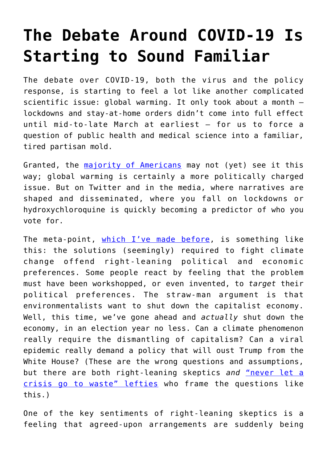## **[The Debate Around COVID-19 Is](https://intellectualtakeout.org/2020/04/the-debate-around-covid-19-is-starting-to-sound-familiar/) [Starting to Sound Familiar](https://intellectualtakeout.org/2020/04/the-debate-around-covid-19-is-starting-to-sound-familiar/)**

The debate over COVID-19, both the virus and the policy response, is starting to feel a lot like another complicated scientific issue: global warming. It only took about a month – lockdowns and stay-at-home orders didn't come into full effect until mid-to-late March at earliest – for us to force a question of public health and medical science into a familiar, tired partisan mold.

Granted, the [majority of Americans](https://www.newsweek.com/americans-back-national-stay-home-order-1496997) may not (yet) see it this way; global warming is certainly a more politically charged issue. But on Twitter and in the media, where narratives are shaped and disseminated, where you fall on lockdowns or hydroxychloroquine is quickly becoming a predictor of who you vote for.

The meta-point, [which I've made before](https://www.theamericanconservative.com/articles/too-good-a-problem/), is something like this: the solutions (seemingly) required to fight climate change offend right-leaning political and economic preferences. Some people react by feeling that the problem must have been workshopped, or even invented, to *target* their political preferences. The straw-man argument is that environmentalists want to shut down the capitalist economy. Well, this time, we've gone ahead and *actually* shut down the economy, in an election year no less. Can a climate phenomenon really require the dismantling of capitalism? Can a viral epidemic really demand a policy that will oust Trump from the White House? (These are the wrong questions and assumptions, but there are both right-leaning skeptics *and* ["never let a](https://thischangeseverything.org/book/) [crisis go to waste" lefties](https://thischangeseverything.org/book/) who frame the questions like this.)

One of the key sentiments of right-leaning skeptics is a feeling that agreed-upon arrangements are suddenly being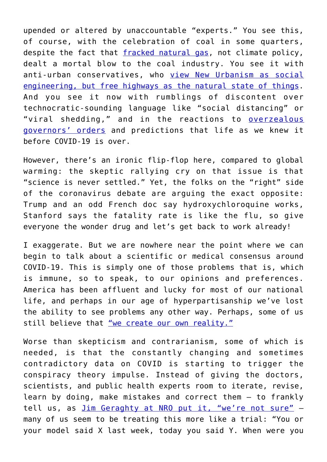upended or altered by unaccountable "experts." You see this, of course, with the celebration of coal in some quarters, despite the fact that [fracked natural gas,](https://reason.com/2016/10/11/natural-gas-ambush-killed-off-coal-minin/) not climate policy, dealt a mortal blow to the coal industry. You see it with anti-urban conservatives, who [view New Urbanism as social](https://www.theamericanconservative.com/urbs/is-new-urbanism-only-for-leftists/) [engineering, but free highways as the natural state of things.](https://www.theamericanconservative.com/urbs/is-new-urbanism-only-for-leftists/) And you see it now with rumblings of discontent over technocratic-sounding language like "social distancing" or "viral shedding," and in the reactions to [overzealous](https://www.theamericanconservative.com/state-of-the-union/weve-broken-the-public-patience-curve/) [governors' orders](https://www.theamericanconservative.com/state-of-the-union/weve-broken-the-public-patience-curve/) and predictions that life as we knew it before COVID-19 is over.

However, there's an ironic flip-flop here, compared to global warming: the skeptic rallying cry on that issue is that "science is never settled." Yet, the folks on the "right" side of the coronavirus debate are arguing the exact opposite: Trump and an odd French doc say hydroxychloroquine works, Stanford says the fatality rate is like the flu, so give everyone the wonder drug and let's get back to work already!

I exaggerate. But we are nowhere near the point where we can begin to talk about a scientific or medical consensus around COVID-19. This is simply one of those problems that is, which is immune, so to speak, to our opinions and preferences. America has been affluent and lucky for most of our national life, and perhaps in our age of hyperpartisanship we've lost the ability to see problems any other way. Perhaps, some of us still believe that ["we create our own reality."](https://en.wikipedia.org/wiki/Reality-based_community)

Worse than skepticism and contrarianism, some of which is needed, is that the constantly changing and sometimes contradictory data on COVID is starting to trigger the conspiracy theory impulse. Instead of giving the doctors, scientists, and public health experts room to iterate, revise, learn by doing, make mistakes and correct them – to frankly tell us, as *[Jim Geraghty at NRO put it, "we're not sure"](https://www.nationalreview.com/corner/were-not-used-to-scientists-telling-us-were-not-sure/)* many of us seem to be treating this more like a trial: "You or your model said X last week, today you said Y. When were you